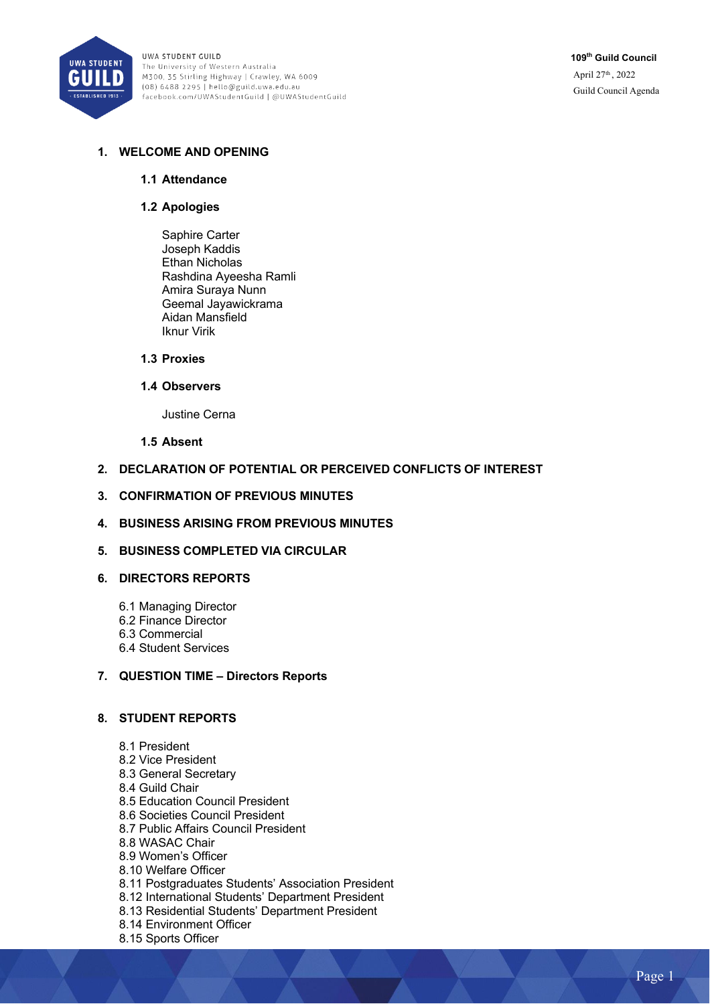

UWA STUDENT GUILD The University of Western Australia M300, 35 Stirling Highway | Crawley, WA 6009 (08) 6488 2295 | hello@guild.uwa.edu.au facebook.com/UWAStudentGuild | @UWAStudentGuild

# **1. WELCOME AND OPENING**

#### **1.1 Attendance**

#### **1.2 Apologies**

Saphire Carter Joseph Kaddis Ethan Nicholas Rashdina Ayeesha Ramli Amira Suraya Nunn Geemal Jayawickrama Aidan Mansfield Iknur Virik

#### **1.3 Proxies**

#### **1.4 Observers**

Justine Cerna

#### **1.5 Absent**

### **2. DECLARATION OF POTENTIAL OR PERCEIVED CONFLICTS OF INTEREST**

#### **3. CONFIRMATION OF PREVIOUS MINUTES**

### **4. BUSINESS ARISING FROM PREVIOUS MINUTES**

### **5. BUSINESS COMPLETED VIA CIRCULAR**

### **6. DIRECTORS REPORTS**

- 6.1 Managing Director
- 6.2 Finance Director
- 6.3 Commercial
- 6.4 Student Services

### **7. QUESTION TIME – Directors Reports**

### **8. STUDENT REPORTS**

- 8.1 President
- 8.2 Vice President
- 8.3 General Secretary
- 8.4 Guild Chair
- 8.5 Education Council President
- 8.6 Societies Council President
- 8.7 Public Affairs Council President
- 8.8 WASAC Chair
- 8.9 Women's Officer
- 8.10 Welfare Officer
- 8.11 Postgraduates Students' Association President
- 8.12 International Students' Department President
- 8.13 Residential Students' Department President
- 8.14 Environment Officer
- 8.15 Sports Officer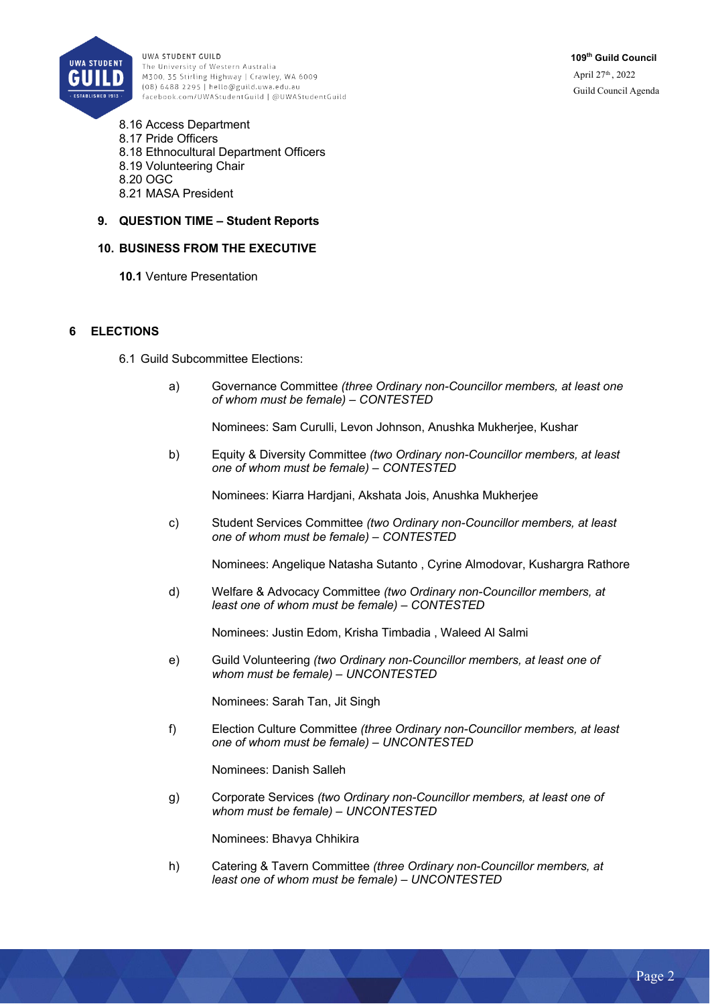

UWA STUDENT GUILD The University of Western Australia M300, 35 Stirling Highway | Crawley, WA 6009 (08) 6488 2295 | hello@guild.uwa.edu.au facebook.com/UWAStudentGuild | @UWAStudentGuild

8.16 Access Department 8.17 Pride Officers 8.18 Ethnocultural Department Officers 8.19 Volunteering Chair 8.20 OGC 8.21 MASA President

**9. QUESTION TIME – Student Reports** 

### **10. BUSINESS FROM THE EXECUTIVE**

**10.1** Venture Presentation

#### **6 ELECTIONS**

- 6.1 Guild Subcommittee Elections:
	- a) Governance Committee *(three Ordinary non-Councillor members, at least one of whom must be female) – CONTESTED*

Nominees: Sam Curulli, Levon Johnson, Anushka Mukherjee, Kushar

b) Equity & Diversity Committee *(two Ordinary non-Councillor members, at least one of whom must be female) – CONTESTED*

Nominees: Kiarra Hardjani, Akshata Jois, Anushka Mukherjee

c) Student Services Committee *(two Ordinary non-Councillor members, at least one of whom must be female) – CONTESTED*

Nominees: Angelique Natasha Sutanto , Cyrine Almodovar, Kushargra Rathore

d) Welfare & Advocacy Committee *(two Ordinary non-Councillor members, at least one of whom must be female) – CONTESTED*

Nominees: Justin Edom, Krisha Timbadia , Waleed Al Salmi

e) Guild Volunteering *(two Ordinary non-Councillor members, at least one of whom must be female) – UNCONTESTED*

Nominees: Sarah Tan, Jit Singh

f) Election Culture Committee *(three Ordinary non-Councillor members, at least one of whom must be female) – UNCONTESTED*

Nominees: Danish Salleh

g) Corporate Services *(two Ordinary non-Councillor members, at least one of whom must be female) – UNCONTESTED*

Nominees: Bhavya Chhikira

h) Catering & Tavern Committee *(three Ordinary non-Councillor members, at least one of whom must be female) – UNCONTESTED*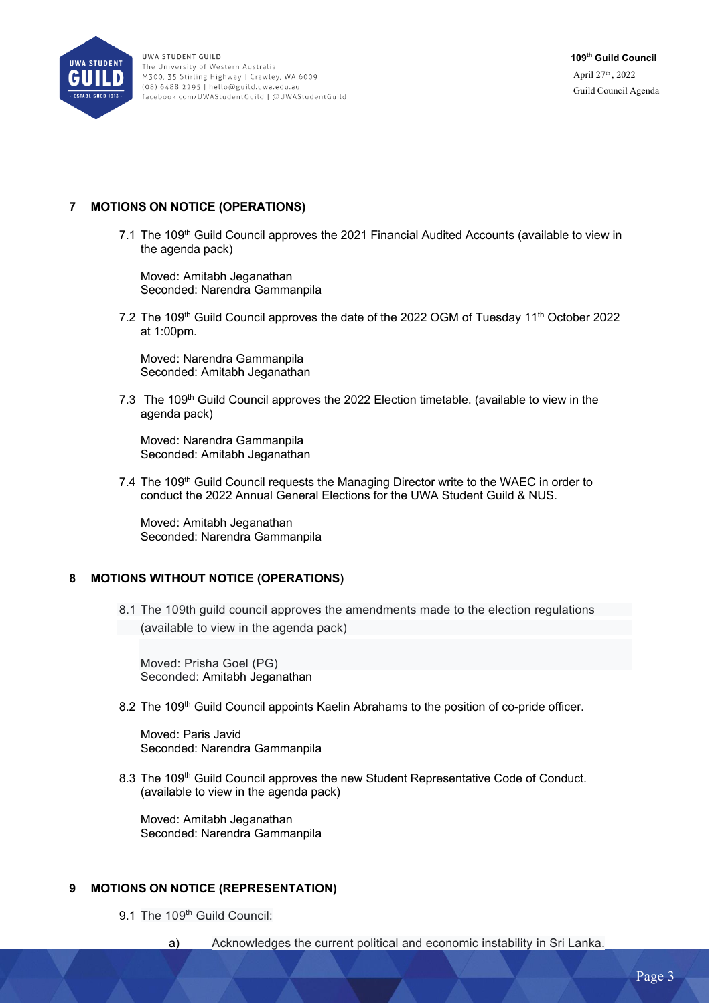

### **7 MOTIONS ON NOTICE (OPERATIONS)**

7.1 The 109<sup>th</sup> Guild Council approves the 2021 Financial Audited Accounts (available to view in the agenda pack)

Moved: Amitabh Jeganathan Seconded: Narendra Gammanpila

7.2 The 109<sup>th</sup> Guild Council approves the date of the 2022 OGM of Tuesday 11<sup>th</sup> October 2022 at 1:00pm.

Moved: Narendra Gammanpila Seconded: Amitabh Jeganathan

7.3 The 109<sup>th</sup> Guild Council approves the 2022 Election timetable. (available to view in the agenda pack)

Moved: Narendra Gammanpila Seconded: Amitabh Jeganathan

7.4 The  $109<sup>th</sup>$  Guild Council requests the Managing Director write to the WAEC in order to conduct the 2022 Annual General Elections for the UWA Student Guild & NUS.

Moved: Amitabh Jeganathan Seconded: Narendra Gammanpila

### **8 MOTIONS WITHOUT NOTICE (OPERATIONS)**

8.1 The 109th guild council approves the amendments made to the election regulations (available to view in the agenda pack)

Moved: Prisha Goel (PG) Seconded: Amitabh Jeganathan

8.2 The 109<sup>th</sup> Guild Council appoints Kaelin Abrahams to the position of co-pride officer.

Moved: Paris Javid Seconded: Narendra Gammanpila

8.3 The 109<sup>th</sup> Guild Council approves the new Student Representative Code of Conduct. (available to view in the agenda pack)

Moved: Amitabh Jeganathan Seconded: Narendra Gammanpila

### **9 MOTIONS ON NOTICE (REPRESENTATION)**

9.1 The 109<sup>th</sup> Guild Council:

a) Acknowledges the current political and economic instability in Sri Lanka.